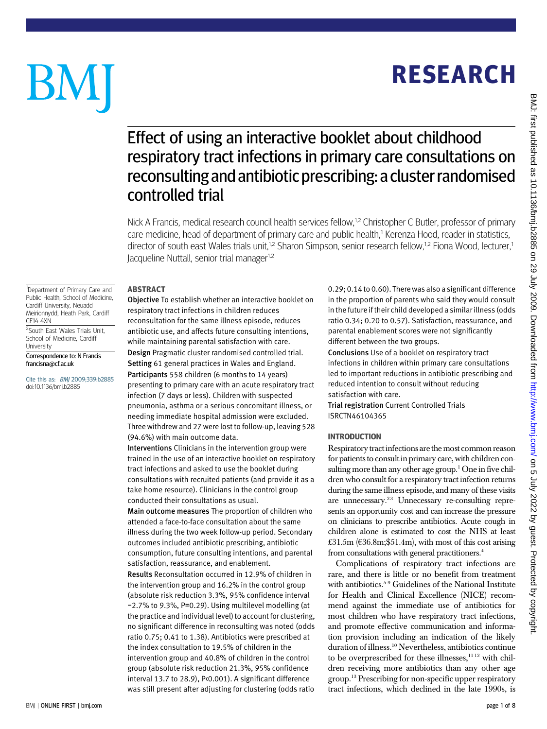# **RESEARCH** RESEARCH

## Effect of using an interactive booklet about childhood respiratory tract infections in primary care consultations on reconsulting and antibiotic prescribing: a cluster randomised controlled trial

Nick A Francis, medical research council health services fellow,<sup>1,2</sup> Christopher C Butler, professor of primary care medicine, head of department of primary care and public health,<sup>1</sup> Kerenza Hood, reader in statistics, director of south east Wales trials unit,<sup>1,2</sup> Sharon Simpson, senior research fellow,<sup>1,2</sup> Fiona Wood, lecturer,<sup>1</sup> Jacqueline Nuttall, senior trial manager<sup>1,2</sup>

<sup>1</sup>Department of Primary Care and Public Health, School of Medicine, Cardiff University, Neuadd Meirionnydd, Heath Park, Cardiff CF14 4XN

BM

<sup>2</sup>South East Wales Trials Unit, School of Medicine, Cardiff University

Correspondence to: N Francis francisna@cf.ac.uk

Cite this as: BMJ 2009;339:b2885 doi:10.1136/bmj.b2885

Objective To establish whether an interactive booklet on respiratory tract infections in children reduces reconsultation for the same illness episode, reduces antibiotic use, and affects future consulting intentions, while maintaining parental satisfaction with care. Design Pragmatic cluster randomised controlled trial. Setting 61 general practices in Wales and England. Participants 558 children (6 months to 14 years) presenting to primary care with an acute respiratory tract infection (7 days or less). Children with suspected pneumonia, asthma or a serious concomitant illness, or needing immediate hospital admission were excluded. Three withdrew and 27 were lost to follow-up, leaving 528 (94.6%) with main outcome data.

Interventions Clinicians in the intervention group were trained in the use of an interactive booklet on respiratory tract infections and asked to use the booklet during consultations with recruited patients (and provide it as a take home resource). Clinicians in the control group conducted their consultations as usual.

Main outcome measures The proportion of children who attended a face-to-face consultation about the same illness during the two week follow-up period. Secondary outcomes included antibiotic prescribing, antibiotic consumption, future consulting intentions, and parental satisfaction, reassurance, and enablement.

Results Reconsultation occurred in 12.9% of children in the intervention group and 16.2% in the control group (absolute risk reduction 3.3%, 95% confidence interval −2.7% to 9.3%, P=0.29). Using multilevel modelling (at the practice and individual level) to account for clustering, no significant difference in reconsulting was noted (odds ratio 0.75; 0.41 to 1.38). Antibiotics were prescribed at the index consultation to 19.5% of children in the intervention group and 40.8% of children in the control group (absolute risk reduction 21.3%, 95% confidence interval 13.7 to 28.9), P<0.001). A significant difference was still present after adjusting for clustering (odds ratio 0.29; 0.14 to 0.60). There was also a significant difference in the proportion of parents who said they would consult in the future if their child developed a similar illness (odds ratio 0.34; 0.20 to 0.57). Satisfaction, reassurance, and parental enablement scores were not significantly different between the two groups.

Conclusions Use of a booklet on respiratory tract infections in children within primary care consultations led to important reductions in antibiotic prescribing and reduced intention to consult without reducing satisfaction with care.

Trial registration Current Controlled Trials ISRCTN46104365

----------------<br>Respiratory tract infections are the most common reason for patients to consult in primary care, with children consulting more than any other age group.<sup>1</sup> One in five children who consult for a respiratory tract infection returns during the same illness episode, and many of these visits are unnecessary.<sup>23</sup> Unnecessary re-consulting represents an opportunity cost and can increase the pressure on clinicians to prescribe antibiotics. Acute cough in children alone is estimated to cost the NHS at least £31.5m ( $€36.8m$ ; \$51.4m), with most of this cost arising from consultations with general practitioners.<sup>4</sup>

Complications of respiratory tract infections are rare, and there is little or no benefit from treatment with antibiotics.5-9 Guidelines of the National Institute for Health and Clinical Excellence (NICE) recommend against the immediate use of antibiotics for most children who have respiratory tract infections, and promote effective communication and information provision including an indication of the likely duration of illness.10 Nevertheless, antibiotics continue to be overprescribed for these illnesses, $1112$  with children receiving more antibiotics than any other age group.13 Prescribing for non-specific upper respiratory tract infections, which declined in the late 1990s, is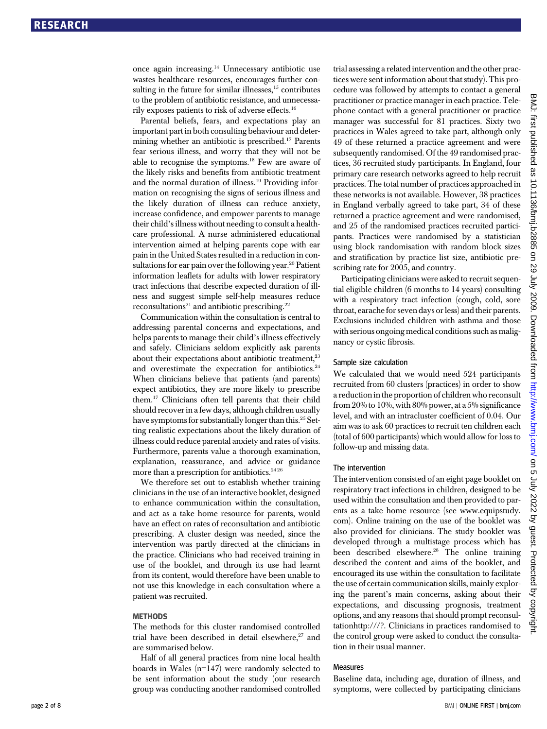once again increasing.14 Unnecessary antibiotic use wastes healthcare resources, encourages further consulting in the future for similar illnesses, $15$  contributes to the problem of antibiotic resistance, and unnecessarily exposes patients to risk of adverse effects.16

Parental beliefs, fears, and expectations play an important part in both consulting behaviour and determining whether an antibiotic is prescribed.17 Parents fear serious illness, and worry that they will not be able to recognise the symptoms.18 Few are aware of the likely risks and benefits from antibiotic treatment and the normal duration of illness.19 Providing information on recognising the signs of serious illness and the likely duration of illness can reduce anxiety, increase confidence, and empower parents to manage their child's illness without needing to consult a healthcare professional. A nurse administered educational intervention aimed at helping parents cope with ear pain in the United States resulted in a reduction in consultations for ear pain over the following year.<sup>20</sup> Patient information leaflets for adults with lower respiratory tract infections that describe expected duration of illness and suggest simple self-help measures reduce  $reconsultations<sup>21</sup>$  and antibiotic prescribing.<sup>22</sup>

Communication within the consultation is central to addressing parental concerns and expectations, and helps parents to manage their child's illness effectively and safely. Clinicians seldom explicitly ask parents about their expectations about antibiotic treatment,<sup>23</sup> and overestimate the expectation for antibiotics.<sup>24</sup> When clinicians believe that patients (and parents) expect antibiotics, they are more likely to prescribe them.17 Clinicians often tell parents that their child should recover in a few days, although children usually have symptoms for substantially longer than this.<sup>25</sup> Setting realistic expectations about the likely duration of illness could reduce parental anxiety and rates of visits. Furthermore, parents value a thorough examination, explanation, reassurance, and advice or guidance more than a prescription for antibiotics.<sup>24 26</sup>

We therefore set out to establish whether training clinicians in the use of an interactive booklet, designed to enhance communication within the consultation, and act as a take home resource for parents, would have an effect on rates of reconsultation and antibiotic prescribing. A cluster design was needed, since the intervention was partly directed at the clinicians in the practice. Clinicians who had received training in use of the booklet, and through its use had learnt from its content, would therefore have been unable to not use this knowledge in each consultation where a patient was recruited.

The methods for this cluster randomised controlled trial have been described in detail elsewhere,<sup>27</sup> and are summarised below.

Half of all general practices from nine local health boards in Wales (n=147) were randomly selected to be sent information about the study (our research group was conducting another randomised controlled trial assessing a related intervention and the other practices were sent information about that study). This procedure was followed by attempts to contact a general practitioner or practice manager in each practice. Telephone contact with a general practitioner or practice manager was successful for 81 practices. Sixty two practices in Wales agreed to take part, although only 49 of these returned a practice agreement and were subsequently randomised. Of the 49 randomised practices, 36 recruited study participants. In England, four primary care research networks agreed to help recruit practices. The total number of practices approached in these networks is not available. However, 38 practices in England verbally agreed to take part, 34 of these returned a practice agreement and were randomised, and 25 of the randomised practices recruited participants. Practices were randomised by a statistician using block randomisation with random block sizes and stratification by practice list size, antibiotic prescribing rate for 2005, and country.

Participating clinicians were asked to recruit sequential eligible children (6 months to 14 years) consulting with a respiratory tract infection (cough, cold, sore throat, earache for seven days or less) and their parents. Exclusions included children with asthma and those with serious ongoing medical conditions such as malignancy or cystic fibrosis.

### Sample size calculation

We calculated that we would need 524 participants recruited from 60 clusters (practices) in order to show a reduction in the proportion of children who reconsult from 20% to 10%, with 80% power, at a  $5\%$  significance level, and with an intracluster coefficient of 0.04. Our aim was to ask 60 practices to recruit ten children each (total of 600 participants) which would allow for loss to follow-up and missing data.

### The intervention

The intervention consisted of an eight page booklet on respiratory tract infections in children, designed to be used within the consultation and then provided to parents as a take home resource (see www.equipstudy. com). Online training on the use of the booklet was also provided for clinicians. The study booklet was developed through a multistage process which has been described elsewhere.<sup>28</sup> The online training described the content and aims of the booklet, and encouraged its use within the consultation to facilitate the use of certain communication skills, mainly exploring the parent's main concerns, asking about their expectations, and discussing prognosis, treatment options, and any reasons that should prompt reconsultationhttp:///?. Clinicians in practices randomised to the control group were asked to conduct the consultation in their usual manner.

### Measures

Baseline data, including age, duration of illness, and symptoms, were collected by participating clinicians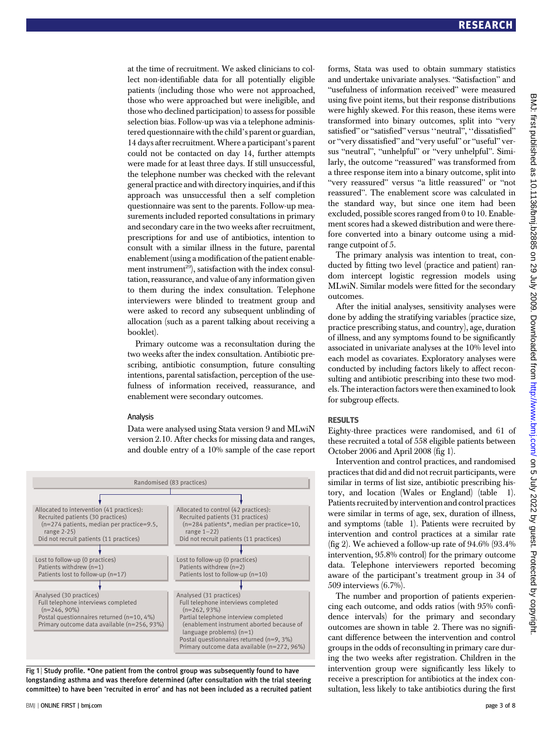at the time of recruitment. We asked clinicians to collect non-identifiable data for all potentially eligible patients (including those who were not approached, those who were approached but were ineligible, and those who declined participation) to assess for possible selection bias. Follow-up was via a telephone administered questionnaire with the child's parent or guardian, 14 days after recruitment.Where a participant's parent could not be contacted on day 14, further attempts were made for at least three days. If still unsuccessful, the telephone number was checked with the relevant general practice and with directory inquiries, and if this approach was unsuccessful then a self completion questionnaire was sent to the parents. Follow-up measurements included reported consultations in primary and secondary care in the two weeks after recruitment, prescriptions for and use of antibiotics, intention to consult with a similar illness in the future, parental enablement (using a modification of the patient enablement instrument<sup>29</sup>), satisfaction with the index consultation, reassurance, and value of any information given to them during the index consultation. Telephone interviewers were blinded to treatment group and were asked to record any subsequent unblinding of allocation (such as a parent talking about receiving a booklet).

Primary outcome was a reconsultation during the two weeks after the index consultation. Antibiotic prescribing, antibiotic consumption, future consulting intentions, parental satisfaction, perception of the usefulness of information received, reassurance, and enablement were secondary outcomes.

#### Analysis

Data were analysed using Stata version 9 and MLwiN version 2.10. After checks for missing data and ranges, and double entry of a 10% sample of the case report



Fig 1 | Study profile. \*One patient from the control group was subsequently found to have longstanding asthma and was therefore determined (after consultation with the trial steering committee) to have been "recruited in error" and has not been included as a recruited patient forms, Stata was used to obtain summary statistics and undertake univariate analyses. "Satisfaction" and "usefulness of information received" were measured using five point items, but their response distributions were highly skewed. For this reason, these items were transformed into binary outcomes, split into "very satisfied" or "satisfied" versus "neutral", "dissatisfied" or "very dissatisfied" and "very useful" or "useful" versus "neutral", "unhelpful" or "very unhelpful". Similarly, the outcome "reassured" was transformed from a three response item into a binary outcome, split into "very reassured" versus "a little reassured" or "not reassured". The enablement score was calculated in the standard way, but since one item had been excluded, possible scores ranged from 0 to 10. Enablement scores had a skewed distribution and were therefore converted into a binary outcome using a midrange cutpoint of 5.

The primary analysis was intention to treat, conducted by fitting two level (practice and patient) random intercept logistic regression models using MLwiN. Similar models were fitted for the secondary outcomes.

After the initial analyses, sensitivity analyses were done by adding the stratifying variables (practice size, practice prescribing status, and country), age, duration of illness, and any symptoms found to be significantly associated in univariate analyses at the 10% level into each model as covariates. Exploratory analyses were conducted by including factors likely to affect reconsulting and antibiotic prescribing into these two models. The interaction factors were then examined to look for subgroup effects.

Eighty-three practices were randomised, and 61 of these recruited a total of 558 eligible patients between October 2006 and April 2008 (fig 1).

Intervention and control practices, and randomised practices that did and did not recruit participants, were similar in terms of list size, antibiotic prescribing history, and location (Wales or England) (table 1). Patients recruited by intervention and control practices were similar in terms of age, sex, duration of illness, and symptoms (table 1). Patients were recruited by intervention and control practices at a similar rate (fig 2). We achieved a follow-up rate of 94.6% (93.4% intervention, 95.8% control) for the primary outcome data. Telephone interviewers reported becoming aware of the participant's treatment group in 34 of 509 interviews (6.7%).

The number and proportion of patients experiencing each outcome, and odds ratios (with 95% confidence intervals) for the primary and secondary outcomes are shown in table 2. There was no significant difference between the intervention and control groups in the odds of reconsulting in primary care during the two weeks after registration. Children in the intervention group were significantly less likely to receive a prescription for antibiotics at the index consultation, less likely to take antibiotics during the first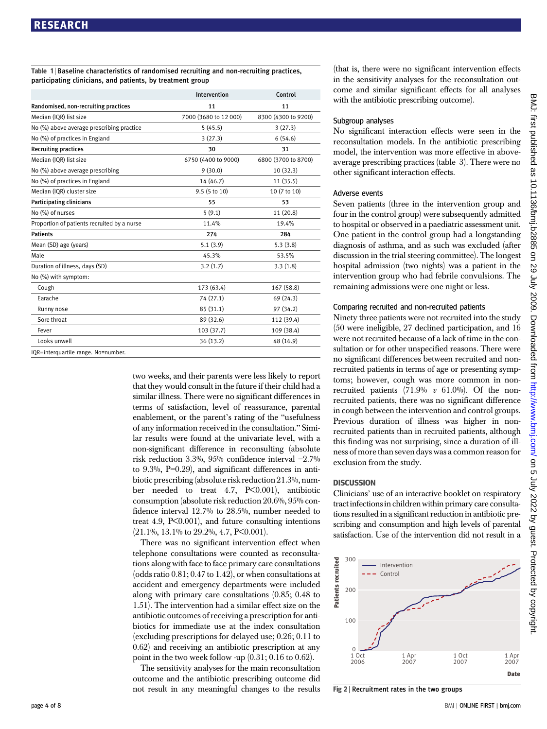Table 1 | Baseline characteristics of randomised recruiting and non-recruiting practices, participating clinicians, and patients, by treatment group

|                                             | Intervention          | Control             |
|---------------------------------------------|-----------------------|---------------------|
| Randomised, non-recruiting practices        | 11                    | 11                  |
| Median (IQR) list size                      | 7000 (3680 to 12 000) | 8300 (4300 to 9200) |
| No (%) above average prescribing practice   | 5(45.5)               | 3(27.3)             |
| No (%) of practices in England              | 3(27.3)               | 6(54.6)             |
| <b>Recruiting practices</b>                 | 30                    | 31                  |
| Median (IQR) list size                      | 6750 (4400 to 9000)   | 6800 (3700 to 8700) |
| No (%) above average prescribing            | 9(30.0)               | 10 (32.3)           |
| No (%) of practices in England              | 14 (46.7)             | 11 (35.5)           |
| Median (IQR) cluster size                   | 9.5 (5 to 10)         | 10 (7 to 10)        |
| Participating clinicians                    | 55                    | 53                  |
| No (%) of nurses                            | 5(9.1)                | 11 (20.8)           |
| Proportion of patients recruited by a nurse | 11.4%                 | 19.4%               |
| <b>Patients</b>                             | 274                   | 284                 |
| Mean (SD) age (years)                       | 5.1(3.9)              | 5.3(3.8)            |
| Male                                        | 45.3%                 | 53.5%               |
| Duration of illness, days (SD)              | 3.2(1.7)              | 3.3(1.8)            |
| No (%) with symptom:                        |                       |                     |
| Cough                                       | 173 (63.4)            | 167 (58.8)          |
| Earache                                     | 74 (27.1)             | 69 (24.3)           |
| Runny nose                                  | 85 (31.1)             | 97 (34.2)           |
| Sore throat                                 | 89 (32.6)             | 112 (39.4)          |
| Fever                                       | 103 (37.7)            | 109 (38.4)          |
| Looks unwell                                | 36 (13.2)             | 48 (16.9)           |
| IQR=interquartile range. No=number.         |                       |                     |

two weeks, and their parents were less likely to report that they would consult in the future if their child had a similar illness. There were no significant differences in terms of satisfaction, level of reassurance, parental enablement, or the parent's rating of the "usefulness of any information received in the consultation." Similar results were found at the univariate level, with a non-significant difference in reconsulting (absolute risk reduction 3.3%, 95% confidence interval −2.7% to 9.3%, P=0.29), and significant differences in antibiotic prescribing (absolute risk reduction 21.3%, number needed to treat 4.7, P<0.001), antibiotic consumption (absolute risk reduction 20.6%, 95% confidence interval 12.7% to 28.5%, number needed to treat 4.9,  $P<0.001$ ), and future consulting intentions (21.1%, 13.1% to 29.2%, 4.7, P<0.001).

There was no significant intervention effect when telephone consultations were counted as reconsultations along with face to face primary care consultations (odds ratio 0.81; 0.47 to 1.42), or when consultations at accident and emergency departments were included along with primary care consultations (0.85; 0.48 to 1.51). The intervention had a similar effect size on the antibiotic outcomes of receiving a prescription for antibiotics for immediate use at the index consultation (excluding prescriptions for delayed use; 0.26; 0.11 to 0.62) and receiving an antibiotic prescription at any point in the two week follow -up (0.31; 0.16 to 0.62).

The sensitivity analyses for the main reconsultation outcome and the antibiotic prescribing outcome did not result in any meaningful changes to the results (that is, there were no significant intervention effects in the sensitivity analyses for the reconsultation outcome and similar significant effects for all analyses with the antibiotic prescribing outcome).

### Subgroup analyses

No significant interaction effects were seen in the reconsultation models. In the antibiotic prescribing model, the intervention was more effective in aboveaverage prescribing practices (table 3). There were no other significant interaction effects.

### Adverse events

Seven patients (three in the intervention group and four in the control group) were subsequently admitted to hospital or observed in a paediatric assessment unit. One patient in the control group had a longstanding diagnosis of asthma, and as such was excluded (after discussion in the trial steering committee). The longest hospital admission (two nights) was a patient in the intervention group who had febrile convulsions. The remaining admissions were one night or less.

### Comparing recruited and non-recruited patients

Ninety three patients were not recruited into the study (50 were ineligible, 27 declined participation, and 16 were not recruited because of a lack of time in the consultation or for other unspecified reasons. There were no significant differences between recruited and nonrecruited patients in terms of age or presenting symptoms; however, cough was more common in nonrecruited patients  $(71.9\% \text{ } v \text{ } 61.0\%)$ . Of the nonrecruited patients, there was no significant difference in cough between the intervention and control groups. Previous duration of illness was higher in nonrecruited patients than in recruited patients, although this finding was not surprising, since a duration of illness of more than seven days was a common reason for exclusion from the study.

Clinicians' use of an interactive booklet on respiratory tract infections in children within primary care consultations resulted in a significant reduction in antibiotic prescribing and consumption and high levels of parental satisfaction. Use of the intervention did not result in a



Fig 2 | Recruitment rates in the two groups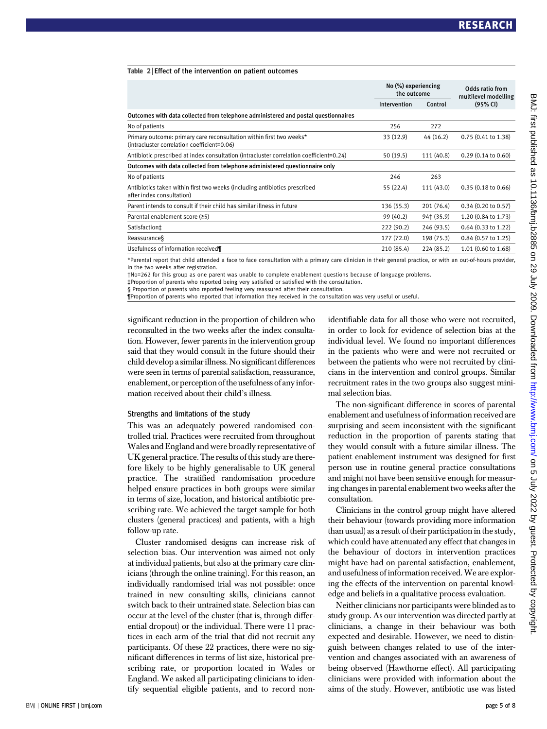|  | Table 2 Effect of the intervention on patient outcomes |  |  |
|--|--------------------------------------------------------|--|--|
|  |                                                        |  |  |

|                                                                                                                     | No (%) experiencing<br>the outcome |            | Odds ratio from<br>multilevel modelling |
|---------------------------------------------------------------------------------------------------------------------|------------------------------------|------------|-----------------------------------------|
|                                                                                                                     | Intervention                       | Control    | (95% CI)                                |
| Outcomes with data collected from telephone administered and postal questionnaires                                  |                                    |            |                                         |
| No of patients                                                                                                      | 256                                | 272        |                                         |
| Primary outcome: primary care reconsultation within first two weeks*<br>(intracluster correlation coefficient=0.06) | 33 (12.9)                          | 44 (16.2)  | 0.75 (0.41 to 1.38)                     |
| Antibiotic prescribed at index consultation (intracluster correlation coefficient=0.24)                             | 50(19.5)                           | 111 (40.8) | $0.29(0.14 \text{ to } 0.60)$           |
| Outcomes with data collected from telephone administered questionnaire only                                         |                                    |            |                                         |
| No of patients                                                                                                      | 246                                | 263        |                                         |
| Antibiotics taken within first two weeks (including antibiotics prescribed<br>after index consultation)             | 55 (22.4)                          | 111 (43.0) | 0.35(0.18 to 0.66)                      |
| Parent intends to consult if their child has similar illness in future                                              | 136 (55.3)                         | 201 (76.4) | $0.34$ $(0.20$ to $0.57)$               |
| Parental enablement score (≥5)                                                                                      | 99 (40.2)                          | 94† (35.9) | 1.20 (0.84 to 1.73)                     |
| Satisfaction <sup>+</sup>                                                                                           | 222(90.2)                          | 246 (93.5) | $0.64$ $(0.33$ to $1.22)$               |
| Reassurance                                                                                                         | 177 (72.0)                         | 198 (75.3) | 0.84 (0.57 to 1.25)                     |
| Usefulness of information received¶                                                                                 | 210 (85.4)                         | 224 (85.2) | 1.01 (0.60 to 1.68)                     |

\*Parental report that child attended a face to face consultation with a primary care clinician in their general practice, or with an out-of-hours provider, in the two weeks after registration.

†No=262 for this group as one parent was unable to complete enablement questions because of language problems.

‡Proportion of parents who reported being very satisfied or satisfied with the consultation. § Proportion of parents who reported feeling very reassured after their consultation.

¶Proportion of parents who reported that information they received in the consultation was very useful or useful.

significant reduction in the proportion of children who reconsulted in the two weeks after the index consultation. However, fewer parents in the intervention group said that they would consult in the future should their child develop a similar illness. No significant differences were seen in terms of parental satisfaction, reassurance, enablement, or perception of the usefulness of any information received about their child's illness.

#### Strengths and limitations of the study

This was an adequately powered randomised controlled trial. Practices were recruited from throughout Wales and England and were broadly representative of UK general practice. The results of this study are therefore likely to be highly generalisable to UK general practice. The stratified randomisation procedure helped ensure practices in both groups were similar in terms of size, location, and historical antibiotic prescribing rate. We achieved the target sample for both clusters (general practices) and patients, with a high follow-up rate.

Cluster randomised designs can increase risk of selection bias. Our intervention was aimed not only at individual patients, but also at the primary care clinicians (through the online training). For this reason, an individually randomised trial was not possible: once trained in new consulting skills, clinicians cannot switch back to their untrained state. Selection bias can occur at the level of the cluster (that is, through differential dropout) or the individual. There were 11 practices in each arm of the trial that did not recruit any participants. Of these 22 practices, there were no significant differences in terms of list size, historical prescribing rate, or proportion located in Wales or England. We asked all participating clinicians to identify sequential eligible patients, and to record nonidentifiable data for all those who were not recruited, in order to look for evidence of selection bias at the individual level. We found no important differences in the patients who were and were not recruited or between the patients who were not recruited by clinicians in the intervention and control groups. Similar recruitment rates in the two groups also suggest minimal selection bias.

The non-significant difference in scores of parental enablement and usefulness of information received are surprising and seem inconsistent with the significant reduction in the proportion of parents stating that they would consult with a future similar illness. The patient enablement instrument was designed for first person use in routine general practice consultations and might not have been sensitive enough for measuring changes in parental enablement two weeks after the consultation.

Clinicians in the control group might have altered their behaviour (towards providing more information than usual) as a result of their participation in the study, which could have attenuated any effect that changes in the behaviour of doctors in intervention practices might have had on parental satisfaction, enablement, and usefulness of information received.We are exploring the effects of the intervention on parental knowledge and beliefs in a qualitative process evaluation.

Neither clinicians nor participants were blinded as to study group. As our intervention was directed partly at clinicians, a change in their behaviour was both expected and desirable. However, we need to distinguish between changes related to use of the intervention and changes associated with an awareness of being observed (Hawthorne effect). All participating clinicians were provided with information about the aims of the study. However, antibiotic use was listed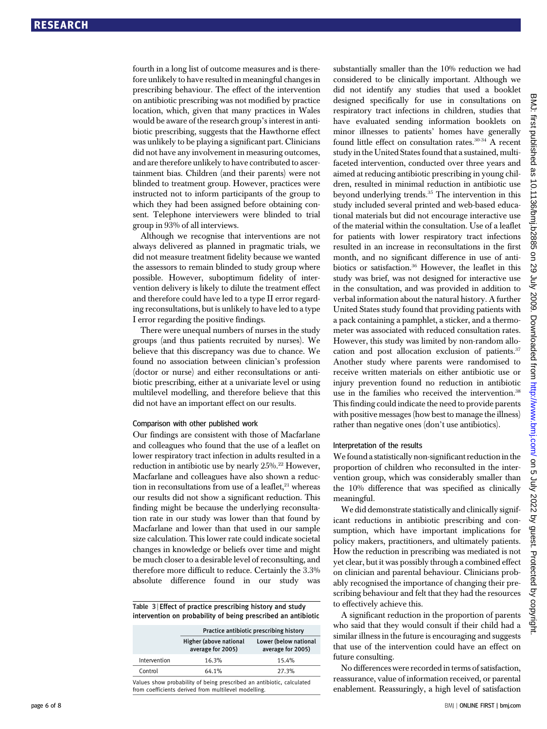fourth in a long list of outcome measures and is therefore unlikely to have resulted in meaningful changes in prescribing behaviour. The effect of the intervention on antibiotic prescribing was not modified by practice location, which, given that many practices in Wales would be aware of the research group's interest in antibiotic prescribing, suggests that the Hawthorne effect was unlikely to be playing a significant part. Clinicians did not have any involvement in measuring outcomes, and are therefore unlikely to have contributed to ascertainment bias. Children (and their parents) were not blinded to treatment group. However, practices were instructed not to inform participants of the group to which they had been assigned before obtaining consent. Telephone interviewers were blinded to trial group in 93% of all interviews.

Although we recognise that interventions are not always delivered as planned in pragmatic trials, we did not measure treatment fidelity because we wanted the assessors to remain blinded to study group where possible. However, suboptimum fidelity of intervention delivery is likely to dilute the treatment effect and therefore could have led to a type II error regarding reconsultations, but is unlikely to have led to a type I error regarding the positive findings.

There were unequal numbers of nurses in the study groups (and thus patients recruited by nurses). We believe that this discrepancy was due to chance. We found no association between clinician's profession (doctor or nurse) and either reconsultations or antibiotic prescribing, either at a univariate level or using multilevel modelling, and therefore believe that this did not have an important effect on our results.

#### Comparison with other published work

Our findings are consistent with those of Macfarlane and colleagues who found that the use of a leaflet on lower respiratory tract infection in adults resulted in a reduction in antibiotic use by nearly 25%.<sup>22</sup> However, Macfarlane and colleagues have also shown a reduction in reconsultations from use of a leaflet. $21$  whereas our results did not show a significant reduction. This finding might be because the underlying reconsultation rate in our study was lower than that found by Macfarlane and lower than that used in our sample size calculation. This lower rate could indicate societal changes in knowledge or beliefs over time and might be much closer to a desirable level of reconsulting, and therefore more difficult to reduce. Certainly the 3.3% absolute difference found in our study was

|  |  | Table 3 Effect of practice prescribing history and study |                                                               |
|--|--|----------------------------------------------------------|---------------------------------------------------------------|
|  |  |                                                          | intervention on probability of being prescribed an antibiotic |

|                                                                                                                               | Practice antibiotic prescribing history     |                                            |  |
|-------------------------------------------------------------------------------------------------------------------------------|---------------------------------------------|--------------------------------------------|--|
|                                                                                                                               | Higher (above national<br>average for 2005) | Lower (below national<br>average for 2005) |  |
| Intervention                                                                                                                  | 16.3%                                       | 15.4%                                      |  |
| Control                                                                                                                       | 64.1%                                       | 27.3%                                      |  |
| Values show probability of being prescribed an antibiotic, calculated<br>from coefficients derived from multilevel modelling. |                                             |                                            |  |

considered to be clinically important. Although we did not identify any studies that used a booklet designed specifically for use in consultations on respiratory tract infections in children, studies that have evaluated sending information booklets on minor illnesses to patients' homes have generally found little effect on consultation rates.30-34 A recent study in the United States found that a sustained, multifaceted intervention, conducted over three years and aimed at reducing antibiotic prescribing in young children, resulted in minimal reduction in antibiotic use beyond underlying trends.<sup>35</sup> The intervention in this study included several printed and web-based educational materials but did not encourage interactive use of the material within the consultation. Use of a leaflet for patients with lower respiratory tract infections resulted in an increase in reconsultations in the first month, and no significant difference in use of antibiotics or satisfaction.<sup>36</sup> However, the leaflet in this study was brief, was not designed for interactive use in the consultation, and was provided in addition to verbal information about the natural history. A further United States study found that providing patients with a pack containing a pamphlet, a sticker, and a thermometer was associated with reduced consultation rates. However, this study was limited by non-random allocation and post allocation exclusion of patients.<sup>37</sup> Another study where parents were randomised to receive written materials on either antibiotic use or injury prevention found no reduction in antibiotic use in the families who received the intervention.<sup>38</sup> This finding could indicate the need to provide parents with positive messages (how best to manage the illness) rather than negative ones (don't use antibiotics).

substantially smaller than the 10% reduction we had

### Interpretation of the results

We found a statistically non-significant reduction in the proportion of children who reconsulted in the intervention group, which was considerably smaller than the 10% difference that was specified as clinically meaningful.

We did demonstrate statistically and clinically significant reductions in antibiotic prescribing and consumption, which have important implications for policy makers, practitioners, and ultimately patients. How the reduction in prescribing was mediated is not yet clear, but it was possibly through a combined effect on clinician and parental behaviour. Clinicians probably recognised the importance of changing their prescribing behaviour and felt that they had the resources to effectively achieve this.

A significant reduction in the proportion of parents who said that they would consult if their child had a similar illness in the future is encouraging and suggests that use of the intervention could have an effect on future consulting.

No differences were recorded in terms of satisfaction, reassurance, value of information received, or parental enablement. Reassuringly, a high level of satisfaction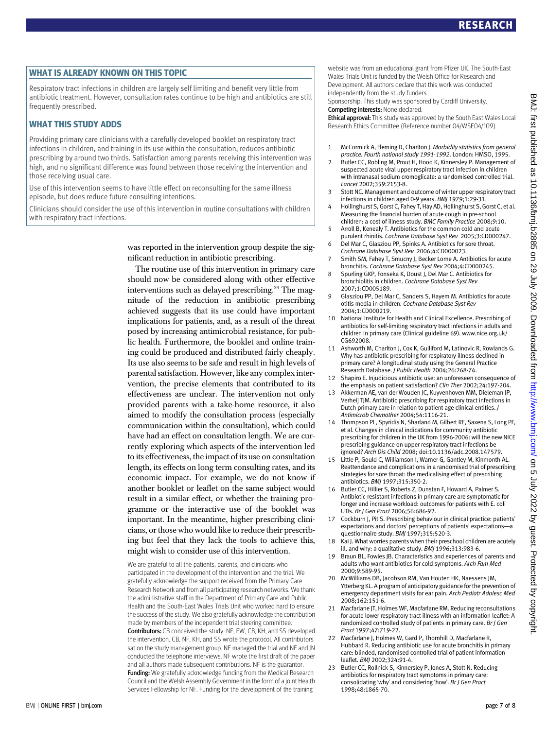WHAT IS ALREADY KNOWN ON THIS TOPIC Respiratory tract infections in children are largely self limiting and benefit very little from antibiotic treatment. However, consultation rates continue to be high and antibiotics are still frequently prescribed.

—<br>Providing primary care clinicians with a carefully developed booklet on respiratory tract infections in children, and training in its use within the consultation, reduces antibiotic prescribing by around two thirds. Satisfaction among parents receiving this intervention was high, and no significant difference was found between those receiving the intervention and those receiving usual care.

Use of this intervention seems to have little effect on reconsulting for the same illness episode, but does reduce future consulting intentions.

Clinicians should consider the use of this intervention in routine consultations with children with respiratory tract infections.

> was reported in the intervention group despite the significant reduction in antibiotic prescribing.

The routine use of this intervention in primary care should now be considered along with other effective interventions such as delayed prescribing.<sup>39</sup> The magnitude of the reduction in antibiotic prescribing achieved suggests that its use could have important implications for patients, and, as a result of the threat posed by increasing antimicrobial resistance, for public health. Furthermore, the booklet and online training could be produced and distributed fairly cheaply. Its use also seems to be safe and result in high levels of parental satisfaction. However, like any complex intervention, the precise elements that contributed to its effectiveness are unclear. The intervention not only provided parents with a take-home resource, it also aimed to modify the consultation process (especially communication within the consultation), which could have had an effect on consultation length. We are currently exploring which aspects of the intervention led to its effectiveness, the impact of its use on consultation length, its effects on long term consulting rates, and its economic impact. For example, we do not know if another booklet or leaflet on the same subject would result in a similar effect, or whether the training programme or the interactive use of the booklet was important. In the meantime, higher prescribing clinicians, or those who would like to reduce their prescribing but feel that they lack the tools to achieve this, might wish to consider use of this intervention.

We are grateful to all the patients, parents, and clinicians who participated in the development of the intervention and the trial. We gratefully acknowledge the support received from the Primary Care Research Network and from all participating research networks. We thank the administrative staff in the Department of Primary Care and Public Health and the South-East Wales Trials Unit who worked hard to ensure the success of the study. We also gratefully acknowledge the contribution made by members of the independent trial steering committee. Contributors: CB conceived the study. NF, FW, CB, KH, and SS developed the intervention. CB, NF, KH, and SS wrote the protocol. All contributors sat on the study management group. NF managed the trial and NF and JN conducted the telephone interviews. NF wrote the first draft of the paper and all authors made subsequent contributions. NF is the guarantor. Funding: We gratefully acknowledge funding from the Medical Research Council and the Welsh Assembly Government in the form of a joint Health Services Fellowship for NF. Funding for the development of the training

website was from an educational grant from Pfizer UK. The South-East Wales Trials Unit is funded by the Welsh Office for Research and Development. All authors declare that this work was conducted independently from the study funders.

Sponsorship: This study was sponsored by Cardiff University. Competing interests: None declared.

Ethical approval: This study was approved by the South East Wales Local Research Ethics Committee (Reference number 04/WSE04/109).

- 1 McCormick A, Fleming D, Charlton J. Morbidity statistics from general practice. Fourth national study 1991-1992. London: HMSO, 1995.
- 2 Butler CC, Robling M, Prout H, Hood K, Kinnersley P. Management of suspected acute viral upper respiratory tract infection in children with intranasal sodium cromoglicate: a randomised controlled trial. Lancet 2002;359:2153-8.
- 3 Stott NC. Management and outcome of winter upper respiratory tract infections in children aged 0-9 years. BMJ 1979;1:29-31.
- 4 Hollinghurst S, Gorst C, Fahey T, Hay AD, Hollinghurst S, Gorst C, et al. Measuring the financial burden of acute cough in pre-school children: a cost of illness study. BMC Family Practice 2008;9:10.
- 5 Arroll B, Kenealy T. Antibiotics for the common cold and acute purulent rhinitis. Cochrane Database Syst Rev 2005;3:CD000247.
- 6 Del Mar C, Glasziou PP, Spinks A. Antibiotics for sore throat. Cochrane Database Syst Rev 2006;4:CD000023.
- 7 Smith SM, Fahey T, Smucny J, Becker Lorne A. Antibiotics for acute bronchitis. Cochrane Database Syst Rev 2004;4:CD000245.
- 8 Spurling GKP, Fonseka K, Doust J, Del Mar C. Antibiotics for bronchiolitis in children. Cochrane Database Syst Rev 2007;1:CD005189.
- 9 Glasziou PP, Del Mar C, Sanders S, Hayem M. Antibiotics for acute otitis media in children. Cochrane Database Syst Rev 2004;1:CD000219.
- 10 National Institute for Health and Clinical Excellence. Prescribing of antibiotics for self-limiting respiratory tract infections in adults and children in primary care (Clinical guideline 69). www.nice.org.uk/ CG692008.
- 11 Ashworth M, Charlton J, Cox K, Gulliford M, Latinovic R, Rowlands G. Why has antibiotic prescribing for respiratory illness declined in primary care? A longitudinal study using the General Practice Research Database. J Public Health 2004;26:268-74.
- 12 Shapiro E. Injudicious antibiotic use: an unforeseen consequence of the emphasis on patient satisfaction? Clin Ther 2002;24:197-204.
- 13 Akkerman AE, van der Wouden JC, Kuyvenhoven MM, Dieleman JP, Verheij TJM. Antibiotic prescribing for respiratory tract infections in Dutch primary care in relation to patient age clinical entities. J Antimicrob Chemother 2004;54:1116-21.
- 14 Thompson PL, Spyridis N, Sharland M, Gilbert RE, Saxena S, Long PF, et al. Changes in clinical indications for community antibiotic prescribing for children in the UK from 1996-2006: will the new NICE prescribing guidance on upper respiratory tract infections be ignored? Arch Dis Child 2008; doi:10.1136/adc.2008.147579.
- 15 Little P, Gould C, Williamson I, Warner G, Gantley M, Kinmonth AL. Reattendance and complications in a randomised trial of prescribing strategies for sore throat: the medicalising effect of prescribing antibiotics. BMJ 1997;315:350-2.
- 16 Butler CC, Hillier S, Roberts Z, Dunstan F, Howard A, Palmer S. Antibiotic-resistant infections in primary care are symptomatic for longer and increase workload: outcomes for patients with E. coli UTIs. Br J Gen Pract 2006;56:686-92.
- 17 Cockburn J, Pit S. Prescribing behaviour in clinical practice: patients' expectations and doctors' perceptions of patients' expectations—a questionnaire study. BMJ 1997;315:520-3.
- 18 Kai J. What worries parents when their preschool children are acutely ill, and why: a qualitative study. BMJ 1996;313:983-6.
- 19 Braun BL, Fowles JB. Characteristics and experiences of parents and adults who want antibiotics for cold symptoms. Arch Fam Med 2000;9:589-95.
- 20 McWilliams DB, Jacobson RM, Van Houten HK, Naessens JM, Ytterberg KL. A program of anticipatory guidance for the prevention of emergency department visits for ear pain. Arch Pediatr Adolesc Med 2008;162:151-6.
- 21 Macfarlane JT, Holmes WF, Macfarlane RM. Reducing reconsultations for acute lower respiratory tract illness with an information leaflet: A randomized controlled study of patients in primary care. Br J Gen Pract 1997;47:719-22.
- 22 Macfarlane J, Holmes W, Gard P, Thornhill D, Macfarlane R, Hubbard R. Reducing antibiotic use for acute bronchitis in primary care: blinded, randomised controlled trial of patient information leaflet. BMJ 2002;324:91-4.
- 23 Butler CC, Rollnick S, Kinnersley P, Jones A, Stott N. Reducing antibiotics for respiratory tract symptoms in primary care: consolidating 'why' and considering 'how'. Br J Gen Pract 1998;48:1865-70.